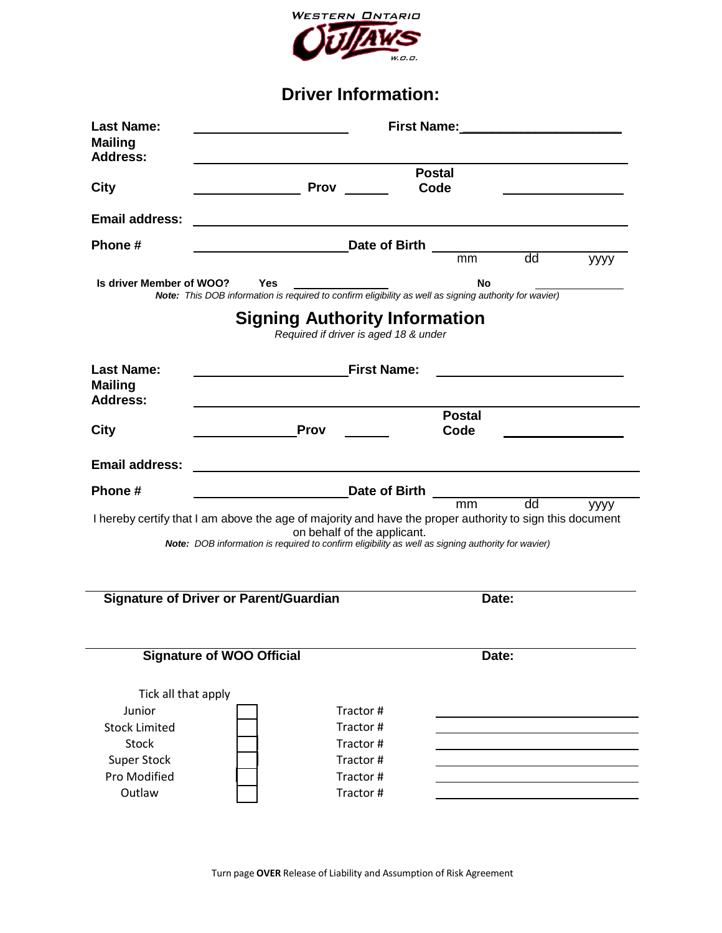

**Driver Information:**

| <b>Last Name:</b><br><b>Mailing</b><br>Address:                               |                                                                                                                      | First Name: Name: Name and Security Assembly Assembly Assembly |    |      |  |  |
|-------------------------------------------------------------------------------|----------------------------------------------------------------------------------------------------------------------|----------------------------------------------------------------|----|------|--|--|
| City                                                                          | <b>Prov</b>                                                                                                          | <b>Postal</b><br>Code                                          |    |      |  |  |
| <b>Email address:</b>                                                         |                                                                                                                      |                                                                |    |      |  |  |
| Phone#                                                                        | Date of Birth                                                                                                        |                                                                |    |      |  |  |
|                                                                               |                                                                                                                      | mm                                                             | dd | уууу |  |  |
| Is driver Member of WOO?                                                      | <b>Yes</b><br>Note: This DOB information is required to confirm eligibility as well as signing authority for wavier) | No                                                             |    |      |  |  |
|                                                                               |                                                                                                                      |                                                                |    |      |  |  |
| <b>Signing Authority Information</b><br>Required if driver is aged 18 & under |                                                                                                                      |                                                                |    |      |  |  |
| <b>Last Name:</b>                                                             | <b>First Name:</b>                                                                                                   |                                                                |    |      |  |  |
| <b>Mailing</b><br><b>Address:</b>                                             |                                                                                                                      |                                                                |    |      |  |  |
|                                                                               |                                                                                                                      | <b>Postal</b>                                                  |    |      |  |  |
| City                                                                          | <b>Prov</b>                                                                                                          | Code                                                           |    |      |  |  |
| <b>Email address:</b>                                                         |                                                                                                                      |                                                                |    |      |  |  |
| Phone #                                                                       |                                                                                                                      | Date of Birth <u>mm</u> dd                                     |    |      |  |  |
|                                                                               | I hereby certify that I am above the age of majority and have the proper authority to sign this document             |                                                                |    | уууу |  |  |
|                                                                               | on behalf of the applicant.                                                                                          |                                                                |    |      |  |  |
|                                                                               | Note: DOB information is required to confirm eligibility as well as signing authority for wavier)                    |                                                                |    |      |  |  |
|                                                                               |                                                                                                                      |                                                                |    |      |  |  |
|                                                                               | <b>Signature of Driver or Parent/Guardian</b>                                                                        | Date:                                                          |    |      |  |  |
|                                                                               |                                                                                                                      |                                                                |    |      |  |  |
|                                                                               |                                                                                                                      |                                                                |    |      |  |  |
|                                                                               | <b>Signature of WOO Official</b>                                                                                     | Date:                                                          |    |      |  |  |
|                                                                               |                                                                                                                      |                                                                |    |      |  |  |
| Tick all that apply                                                           |                                                                                                                      |                                                                |    |      |  |  |
| Junior                                                                        | Tractor#                                                                                                             |                                                                |    |      |  |  |
| <b>Stock Limited</b>                                                          | Tractor#                                                                                                             |                                                                |    |      |  |  |
| <b>Stock</b>                                                                  | Tractor#                                                                                                             |                                                                |    |      |  |  |
| <b>Super Stock</b>                                                            | Tractor#                                                                                                             |                                                                |    |      |  |  |
| Pro Modified                                                                  | Tractor#                                                                                                             |                                                                |    |      |  |  |
| Outlaw                                                                        | Tractor #                                                                                                            |                                                                |    |      |  |  |